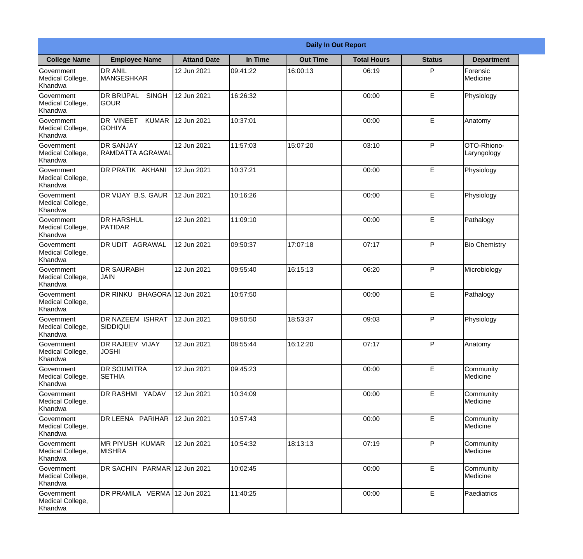|                                                  |                                                     |                     |          | <b>Daily In Out Report</b> |                    |               |                            |
|--------------------------------------------------|-----------------------------------------------------|---------------------|----------|----------------------------|--------------------|---------------|----------------------------|
| <b>College Name</b>                              | <b>Employee Name</b>                                | <b>Attand Date</b>  | In Time  | <b>Out Time</b>            | <b>Total Hours</b> | <b>Status</b> | <b>Department</b>          |
| Government<br>Medical College,<br>Khandwa        | <b>DR ANIL</b><br><b>MANGESHKAR</b>                 | 12 Jun 2021         | 09:41:22 | 16:00:13                   | 06:19              | P             | Forensic<br>Medicine       |
| Government<br>Medical College,<br>Khandwa        | <b>DR BRIJPAL</b><br><b>SINGH</b><br> GOUR          | 12 Jun 2021         | 16:26:32 |                            | 00:00              | E             | Physiology                 |
| <b>Government</b><br>Medical College,<br>Khandwa | <b>DR VINEET</b><br><b>KUMAR</b><br><b>I</b> GOHIYA | 12 Jun 2021         | 10:37:01 |                            | 00:00              | E             | Anatomy                    |
| Government<br>Medical College,<br>Khandwa        | <b>DR SANJAY</b><br><b>RAMDATTA AGRAWAL</b>         | 12 Jun 2021         | 11:57:03 | 15:07:20                   | 03:10              | P             | OTO-Rhiono-<br>Laryngology |
| Government<br>Medical College,<br>Khandwa        | <b>IDR PRATIK AKHANI</b>                            | 12 Jun 2021         | 10:37:21 |                            | 00:00              | E             | Physiology                 |
| Government<br>Medical College,<br>Khandwa        | DR VIJAY B.S. GAUR                                  | 12 Jun 2021         | 10:16:26 |                            | 00:00              | E             | Physiology                 |
| Government<br>Medical College,<br>Khandwa        | IDR HARSHUL<br><b>PATIDAR</b>                       | 12 Jun 2021         | 11:09:10 |                            | 00:00              | E             | Pathalogy                  |
| Government<br>Medical College,<br>Khandwa        | DR UDIT AGRAWAL                                     | 12 Jun 2021         | 09:50:37 | 17:07:18                   | 07:17              | P             | <b>Bio Chemistry</b>       |
| Government<br>Medical College,<br>Khandwa        | <b>DR SAURABH</b><br><b>JAIN</b>                    | 12 Jun 2021         | 09:55:40 | 16:15:13                   | 06:20              | P             | Microbiology               |
| Government<br>Medical College,<br>Khandwa        | DR RINKU                                            | BHAGORA 12 Jun 2021 | 10:57:50 |                            | 00:00              | E             | Pathalogy                  |
| Government<br>Medical College,<br>Khandwa        | <b>IDR NAZEEM ISHRAT</b><br>SIDDIQUI                | 12 Jun 2021         | 09:50:50 | 18:53:37                   | 09:03              | $\mathsf{P}$  | Physiology                 |
| Government<br>Medical College,<br>Khandwa        | DR RAJEEV VIJAY<br><b>JOSHI</b>                     | 12 Jun 2021         | 08:55:44 | 16:12:20                   | 07:17              | P             | Anatomy                    |
| Government<br>Medical College,<br>Khandwa        | <b>DR SOUMITRA</b><br><b>SETHIA</b>                 | 12 Jun 2021         | 09:45:23 |                            | 00:00              | E             | Community<br>Medicine      |
| Government<br>Medical College,<br>Khandwa        | <b>DR RASHMI YADAV</b>                              | 12 Jun 2021         | 10:34:09 |                            | 00:00              | E             | Community<br>Medicine      |
| Government<br>Medical College,<br>Khandwa        | DR LEENA PARIHAR                                    | 12 Jun 2021         | 10:57:43 |                            | 00:00              | E             | Community<br>Medicine      |
| Government<br>Medical College,<br>Khandwa        | <b>IMR PIYUSH KUMAR</b><br><b>MISHRA</b>            | 12 Jun 2021         | 10:54:32 | 18:13:13                   | 07:19              | P             | Community<br>Medicine      |
| Government<br>Medical College,<br>Khandwa        | DR SACHIN PARMAR 12 Jun 2021                        |                     | 10:02:45 |                            | 00:00              | E             | Community<br>Medicine      |
| Government<br>Medical College,<br>Khandwa        | DR PRAMILA VERMA 12 Jun 2021                        |                     | 11:40:25 |                            | 00:00              | E             | Paediatrics                |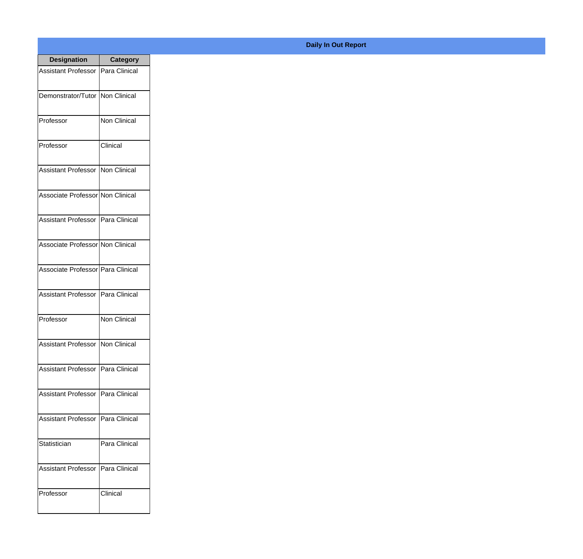| <b>Designation</b>                         | <b>Category</b>       |
|--------------------------------------------|-----------------------|
| <b>Assistant Professor</b>                 | <b>IPara Clinical</b> |
| Demonstrator/Tutor                         | <b>Non Clinical</b>   |
| Professor                                  | Non Clinical          |
| Professor                                  | Clinical              |
| <b>Assistant Professor</b>                 | Non Clinical          |
| Associate Professor Non Clinical           |                       |
| <b>Assistant Professor   Para Clinical</b> |                       |
| Associate Professor Non Clinical           |                       |
| Associate Professor   Para Clinical        |                       |
| Assistant Professor                        | Para Clinical         |
| Professor                                  | Non Clinical          |
| <b>Assistant Professor   Non Clinical</b>  |                       |
| <b>Assistant Professor</b>                 | Para Clinical         |
| <b>Assistant Professor</b>                 | Para Clinical         |
| <b>Assistant Professor</b>                 | Para Clinical         |
| Statistician                               | Para Clinical         |
| <b>Assistant Professor</b>                 | Para Clinical         |
| Professor                                  | Clinical              |

## **Daily In Out Report**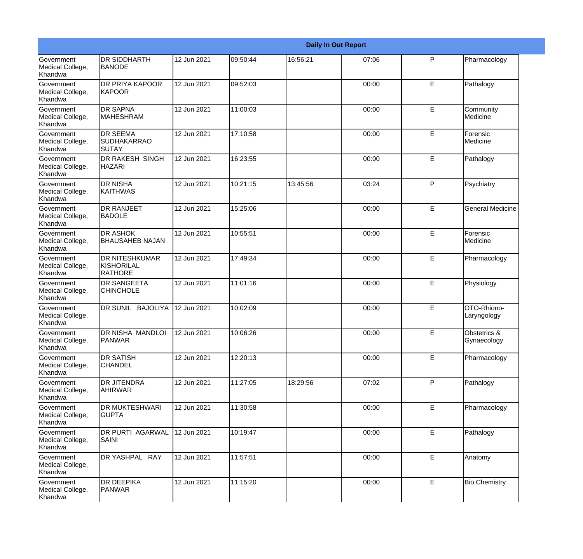|                                                  |                                                |             |          |          | <b>Daily In Out Report</b> |              |                             |
|--------------------------------------------------|------------------------------------------------|-------------|----------|----------|----------------------------|--------------|-----------------------------|
| Government<br>Medical College,<br>Khandwa        | DR SIDDHARTH<br><b>BANODE</b>                  | 12 Jun 2021 | 09:50:44 | 16:56:21 | 07:06                      | P            | Pharmacology                |
| Government<br>Medical College,<br>Khandwa        | <b>DR PRIYA KAPOOR</b><br><b>KAPOOR</b>        | 12 Jun 2021 | 09:52:03 |          | 00:00                      | E            | Pathalogy                   |
| <b>Government</b><br>Medical College,<br>Khandwa | <b>DR SAPNA</b><br><b>MAHESHRAM</b>            | 12 Jun 2021 | 11:00:03 |          | 00:00                      | E            | Community<br>Medicine       |
| Government<br>Medical College,<br>Khandwa        | <b>DR SEEMA</b><br><b>SUDHAKARRAO</b><br>SUTAY | 12 Jun 2021 | 17:10:58 |          | 00:00                      | E            | Forensic<br>Medicine        |
| <b>Government</b><br>Medical College,<br>Khandwa | DR RAKESH SINGH<br><b>HAZARI</b>               | 12 Jun 2021 | 16:23:55 |          | 00:00                      | E            | Pathalogy                   |
| Government<br>Medical College,<br>Khandwa        | <b>DR NISHA</b><br><b>KAITHWAS</b>             | 12 Jun 2021 | 10:21:15 | 13:45:56 | 03:24                      | $\mathsf{P}$ | Psychiatry                  |
| Government<br>Medical College,<br>Khandwa        | <b>DR RANJEET</b><br><b>BADOLE</b>             | 12 Jun 2021 | 15:25:06 |          | 00:00                      | E            | <b>General Medicine</b>     |
| <b>Government</b><br>Medical College,<br>Khandwa | DR ASHOK<br><b>BHAUSAHEB NAJAN</b>             | 12 Jun 2021 | 10:55:51 |          | 00:00                      | E            | Forensic<br>Medicine        |
| Government<br>Medical College,<br>Khandwa        | DR NITESHKUMAR<br>KISHORILAL<br><b>RATHORE</b> | 12 Jun 2021 | 17:49:34 |          | 00:00                      | E            | Pharmacology                |
| Government<br>Medical College,<br>Khandwa        | DR SANGEETA<br><b>CHINCHOLE</b>                | 12 Jun 2021 | 11:01:16 |          | 00:00                      | E            | Physiology                  |
| Government<br>Medical College,<br>Khandwa        | DR SUNIL BAJOLIYA                              | 12 Jun 2021 | 10:02:09 |          | 00:00                      | E            | OTO-Rhiono-<br>Laryngology  |
| Government<br>Medical College,<br>Khandwa        | DR NISHA MANDLOI<br><b>PANWAR</b>              | 12 Jun 2021 | 10:06:26 |          | 00:00                      | E            | Obstetrics &<br>Gynaecology |
| Government<br>Medical College,<br>Khandwa        | <b>DR SATISH</b><br><b>CHANDEL</b>             | 12 Jun 2021 | 12:20:13 |          | 00:00                      | E            | Pharmacology                |
| Government<br>Medical College,<br>Khandwa        | DR JITENDRA<br>AHIRWAR                         | 12 Jun 2021 | 11:27:05 | 18:29:56 | 07:02                      | P            | Pathalogy                   |
| Government<br>Medical College,<br>Khandwa        | <b>DR MUKTESHWARI</b><br><b>GUPTA</b>          | 12 Jun 2021 | 11:30:58 |          | 00:00                      | E            | Pharmacology                |
| Government<br>Medical College,<br>Khandwa        | DR PURTI AGARWAL<br>SAINI                      | 12 Jun 2021 | 10:19:47 |          | 00:00                      | E            | Pathalogy                   |
| Government<br>Medical College,<br>Khandwa        | DR YASHPAL RAY                                 | 12 Jun 2021 | 11:57:51 |          | 00:00                      | E            | Anatomy                     |
| Government<br>Medical College,<br>Khandwa        | DR DEEPIKA<br><b>PANWAR</b>                    | 12 Jun 2021 | 11:15:20 |          | 00:00                      | E            | <b>Bio Chemistry</b>        |